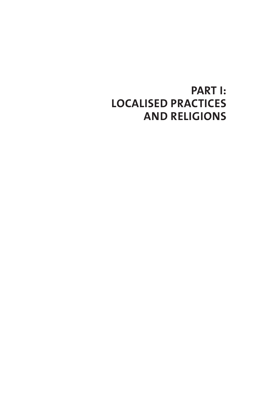# **PART I: LOCALISED PRACTICES AND RELIGIONS**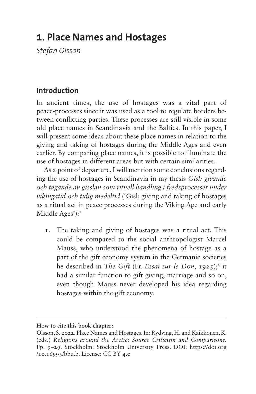## **1. Place Names and Hostages**

*Stefan Olsson*

### **Introduction**

In ancient times, the use of hostages was a vital part of peace-processes since it was used as a tool to regulate borders between conflicting parties. These processes are still visible in some old place names in Scandinavia and the Baltics. In this paper, I will present some ideas about these place names in relation to the giving and taking of hostages during the Middle Ages and even earlier. By comparing place names, it is possible to illuminate the use of hostages in different areas but with certain similarities.

As a point of departure, I will mention some conclusions regarding the use of hostages in Scandinavia in my thesis *Gísl: givande och tagande av gisslan som rituell handling i fredsprocesser under vikingatid och tidig medeltid* ('Gísl: giving and taking of hostages as a ritual act in peace processes during the Viking Age and early Middle Ages'):<sup>[1](#page-16-0)</sup>

1. The taking and giving of hostages was a ritual act. This could be compared to the social anthropologist Marcel Mauss, who understood the phenomena of hostage as a part of the gift economy system in the Germanic societies he described in *The Gift* (Fr. *Essai sur le Don*, 19[2](#page-16-1)5);<sup>2</sup> it had a similar function to gift giving, marriage and so on, even though Mauss never developed his idea regarding hostages within the gift economy.

**How to cite this book chapter:**

Olsson, S. 2022. Place Names and Hostages. In: Rydving, H. and Kaikkonen, K. (eds.) *Religions around the Arctic: Source Criticism and Comparisons*. Pp. 9–29. Stockholm: Stockholm University Press. DOI: [https://doi.org](https://doi.org/10.16993/bbu.b) [/10.16993/bbu.b.](https://doi.org/10.16993/bbu.b) License: CC BY 4.0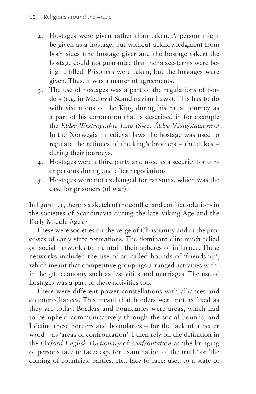- 2. Hostages were given rather than taken. A person might be given as a hostage, but without acknowledgment from both sides (the hostage giver and the hostage taker) the hostage could not guarantee that the peace-terms were being fulfilled. Prisoners were taken, but the hostages were given. Thus, it was a matter of agreements.
- 3. The use of hostages was a part of the regulations of borders (e.g. in Medieval Scandinavian Laws). This has to do with visitations of the King during his ritual journey as a part of his coronation that is described in for example the *Elder Westrogothic Law* (Swe. *Äldre Västgötalagen*).[3](#page-16-2) In the Norwegian medieval laws the hostage was used to regulate the retinues of the king's brothers – the dukes – during their journeys.
- 4. Hostages were a third party and used as a security for other persons during and after negotiations.
- 5. Hostages were not exchanged for ransoms, which was the case for prisoners (of war)[.4](#page-16-3)

In [figure 1.1](#page-4-0), there is a sketch of the conflict and conflict solutions in the societies of Scandinavia during the late Viking Age and the Early Middle Ages.<sup>[5](#page-16-4)</sup>

These were societies on the verge of Christianity and in the processes of early state formations. The dominant elite much relied on social networks to maintain their spheres of influence. These networks included the use of so called bounds of 'friendship', which meant that competitive groupings arranged activities within the gift economy such as festivities and marriages. The use of hostages was a part of these activities too.

There were different power constellations with alliances and counter-alliances. This meant that borders were not as fixed as they are today. Borders and boundaries were areas, which had to be upheld communicatively through the social bounds, and I define these borders and boundaries – for the lack of a better word – as 'areas of confrontation'. I then rely on the definition in the *Oxford English Dictionary* of *confrontation* as 'the bringing of persons face to face; esp. for examination of the truth' or 'the coming of countries, parties, etc., face to face: used to a state of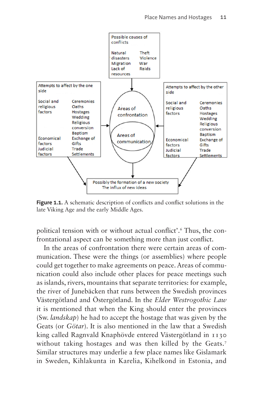

<span id="page-4-0"></span>Figure 1.1. A schematic description of conflicts and conflict solutions in the late Viking Age and the early Middle Ages.

political tension with or without actual conflict'[.6](#page-16-5) Thus, the confrontational aspect can be something more than just conflict.

In the areas of confrontation there were certain areas of communication. These were the things (or assemblies) where people could get together to make agreements on peace. Areas of communication could also include other places for peace meetings such as islands, rivers, mountains that separate territories: for example, the river of Junebäcken that runs between the Swedish provinces Västergötland and Östergötland. In the *Elder Westrogothic Law* it is mentioned that when the King should enter the provinces (Sw. *landskap*) he had to accept the hostage that was given by the Geats (or *Götar*). It is also mentioned in the law that a Swedish king called Ragnvald Knaphövde entered Västergötland in 1130 without taking hostages and was then killed by the Geats.<sup>[7](#page-16-6)</sup> Similar structures may underlie a few place names like Gislamark in Sweden, Kihlakunta in Karelia, Kihelkond in Estonia, and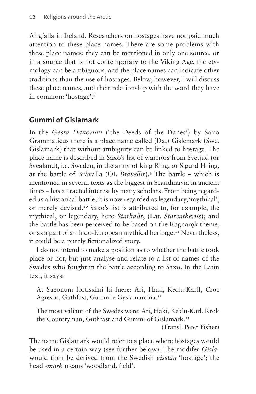Airgíalla in Ireland. Researchers on hostages have not paid much attention to these place names. There are some problems with these place names: they can be mentioned in only one source, or in a source that is not contemporary to the Viking Age, the etymology can be ambiguous, and the place names can indicate other traditions than the use of hostages. Below, however, I will discuss these place names, and their relationship with the word they have in common: 'hostage'.[8](#page-16-7)

### **Gummi of Gislamark**

In the *Gesta Danorum* ('the Deeds of the Danes') by Saxo Grammaticus there is a place name called (Da.) Gislemark (Swe. Gislamark) that without ambiguity can be linked to hostage. The place name is described in Saxo's list of warriors from Svetjud (or Svealand), i.e. Sweden, in the army of king Ring, or Sigurd Hring, at the battle of Bråvalla (OI. *Brávellir*).[9](#page-16-8) The battle – which is mentioned in several texts as the biggest in Scandinavia in ancient times – has attracted interest by many scholars. From being regarded as a historical battle, it is now regarded as legendary, 'mythical', or merely devised[.10](#page-16-9) Saxo's list is attributed to, for example, the mythical, or legendary, hero *Starkaðr*, (Lat. *Starcatherus*); and the battle has been perceived to be based on the Ragnarok theme, or as a part of an Indo-European mythical heritage.<sup>[11](#page-16-10)</sup> Nevertheless, it could be a purely fictionalized story.

I do not intend to make a position as to whether the battle took place or not, but just analyse and relate to a list of names of the Swedes who fought in the battle according to Saxo. In the Latin text, it says:

At Sueonum fortissimi hi fuere: Ari, Haki, Keclu-Karll, Croc Agrestis, Guthfast, Gummi e Gyslamarchia[.12](#page-16-11)

The most valiant of the Swedes were: Ari, Haki, Keklu-Karl, Krok the Countryman, Guthfast and Gummi of Gislamark[.13](#page-16-12)

(Transl. Peter Fisher)

The name Gislamark would refer to a place where hostages would be used in a certain way (see further below). The modifer *Gisla*would then be derived from the Swedish *gisslan* 'hostage'; the head -*mark* means 'woodland, field'.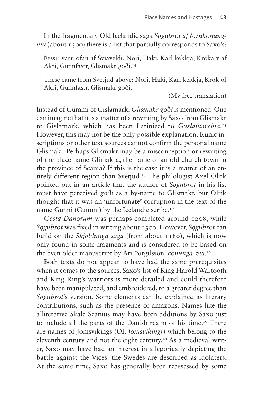In the fragmentary Old Icelandic saga *Sǫgubrot af fornkonungum* (about 1300) there is a list that partially corresponds to Saxo's:

Þessir váru ofan af Svíaveldi: Nori, Haki, Karl kekkja, Krókarr af Akri, Gunnfastr, Glismakr goði[.14](#page-16-13)

These came from Svetjud above: Nori, Haki, Karl kekkja, Krok of Akri, Gunnfastr, Glismakr goði.

(My free translation)

Instead of Gummi of Gislamark, *Glismakr goði* is mentioned. One can imagine that it is a matter of a rewriting by Saxo from Glismakr to Gislamark, which has been Latinized to *Gyslamarchia*. [15](#page-16-14) However, this may not be the only possible explanation. Runic inscriptions or other text sources cannot confirm the personal name Glismakr. Perhaps Glismakr may be a misconception or rewriting of the place name Glimåkra, the name of an old church town in the province of Scania? If this is the case it is a matter of an entirely different region than Svetjud.<sup>16</sup> The philologist Axel Olrik pointed out in an article that the author of *Sǫgubrot* in his list must have perceived *goði* as a by-name to Glismakr, but Olrik thought that it was an 'unfortunate' corruption in the text of the name Gunni (Gummi) by the Icelandic scribe.<sup>17</sup>

*Gesta Danorum* was perhaps completed around 1208, while *Sǫgubrot* was fixed in writing about 1300. However, *Sǫgubrot* can build on the *Skjoldunga saga* (from about 1180), which is now only found in some fragments and is considered to be based on the even older manuscript by Ari Þorgilsson: *conunga ævi*. [18](#page-16-17)

Both texts do not appear to have had the same prerequisites when it comes to the sources. Saxo's list of King Harold Wartooth and King Ring's warriors is more detailed and could therefore have been manipulated, and embroidered, to a greater degree than *Sogubrot*'s version. Some elements can be explained as literary contributions, such as the presence of amazons. Names like the alliterative Skale Scanius may have been additions by Saxo just to include all the parts of the Danish realm of his time[.19](#page-16-18) There are names of Jomsvikings (OI. *Jomsvikingr*) which belong to the eleventh century and not the eight century.<sup>20</sup> As a medieval writer, Saxo may have had an interest in allegorically depicting the battle against the Vices: the Swedes are described as idolaters. At the same time, Saxo has generally been reassessed by some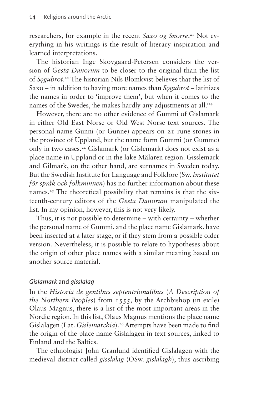researchers, for example in the recent *Saxo og Snorre*. [21](#page-16-20) Not everything in his writings is the result of literary inspiration and learned interpretations.

The historian Inge Skovgaard-Petersen considers the version of *Gesta Danorum* to be closer to the original than the list of *Sǫgubrot*. [22](#page-17-0) The historian Nils Blomkvist believes that the list of Saxo – in addition to having more names than *Sǫgubrot* – latinizes the names in order to 'improve them', but when it comes to the names of the Swedes, 'he makes hardly any adjustments at all.'<sup>[23](#page-17-1)</sup>

However, there are no other evidence of Gummi of Gislamark in either Old East Norse or Old West Norse text sources. The personal name Gunni (or Gunne) appears on 21 rune stones in the province of Uppland, but the name form Gummi (or Gumme) only in two cases[.24](#page-17-2) Gislamark (or Gislemark) does not exist as a place name in Uppland or in the lake Mälaren region. Gisslemark and Gilmark, on the other hand, are surnames in Sweden today. But the Swedish Institute for Language and Folklore (Sw. *Institutet för språk och folkminnen*) has no further information about these names.<sup>25</sup> The theoretical possibility that remains is that the sixteenth-century editors of the *Gesta Danorum* manipulated the list. In my opinion, however, this is not very likely.

Thus, it is not possible to determine – with certainty – whether the personal name of Gummi, and the place name Gislamark, have been inserted at a later stage, or if they stem from a possible older version. Nevertheless, it is possible to relate to hypotheses about the origin of other place names with a similar meaning based on another source material.

#### *Gislamark* and *gisslalag*

In the *Historia de gentibus septentrionalibus* (*A Description of the Northern Peoples*) from 1555, by the Archbishop (in exile) Olaus Magnus, there is a list of the most important areas in the Nordic region. In this list, Olaus Magnus mentions the place name Gislalagen (Lat. *Gislemarchia*).<sup>26</sup> Attempts have been made to find the origin of the place name Gislalagen in text sources, linked to Finland and the Baltics.

The ethnologist John Granlund identified Gislalagen with the medieval district called *gisslalag* (OSw. *gislalagh*), thus ascribing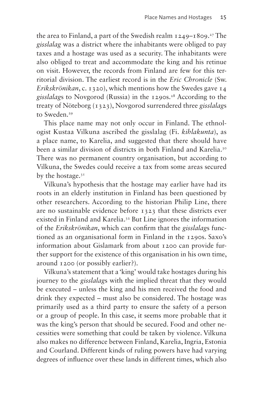the area to Finland, a part of the Swedish realm  $1249-1809$ .<sup>27</sup> The *gisslalag* was a district where the inhabitants were obliged to pay taxes and a hostage was used as a security. The inhabitants were also obliged to treat and accommodate the king and his retinue on visit. However, the records from Finland are few for this territorial division. The earliest record is in the *Eric Chronicle* (Sw. *Erikskrönikan*, c. 1320), which mentions how the Swedes gave 14 *gisslalags* to Novgorod (Russia) in the 1290s.<sup>28</sup> According to the treaty of Nöteborg (1323), Novgorod surrendered three *gisslalag*s to Sweden.<sup>29</sup>

This place name may not only occur in Finland. The ethnologist Kustaa Vilkuna ascribed the gisslalag (Fi. *kihlakunta*), as a place name, to Karelia, and suggested that there should have been a similar division of districts in both Finland and Karelia.[30](#page-17-8) There was no permanent country organisation, but according to Vilkuna, the Swedes could receive a tax from some areas secured by the hostage.<sup>[31](#page-17-9)</sup>

Vilkuna's hypothesis that the hostage may earlier have had its roots in an elderly institution in Finland has been questioned by other researchers. According to the historian Philip Line, there are no sustainable evidence before 1323 that these districts ever existed in Finland and Karelia.[32](#page-17-10) But Line ignores the information of the *Erikskrönikan*, which can confirm that the *gisslalag*s functioned as an organisational form in Finland in the 1290s. Saxo's information about Gislamark from about 1200 can provide further support for the existence of this organisation in his own time, around 1200 (or possibly earlier?).

Vilkuna's statement that a 'king' would take hostages during his journey to the *gisslalag*s with the implied threat that they would be executed – unless the king and his men received the food and drink they expected – must also be considered. The hostage was primarily used as a third party to ensure the safety of a person or a group of people. In this case, it seems more probable that it was the king's person that should be secured. Food and other necessities were something that could be taken by violence. Vilkuna also makes no difference between Finland, Karelia, Ingria, Estonia and Courland. Different kinds of ruling powers have had varying degrees of influence over these lands in different times, which also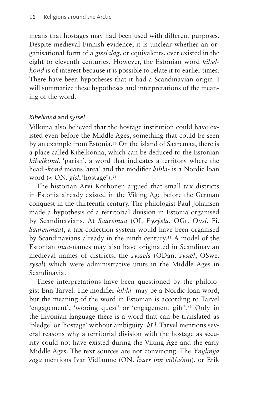means that hostages may had been used with different purposes. Despite medieval Finnish evidence, it is unclear whether an organisational form of a *gisslalag*, or equivalents, ever existed in the eight to eleventh centuries. However, the Estonian word *kihelkond* is of interest because it is possible to relate it to earlier times. There have been hypotheses that it had a Scandinavian origin. I will summarize these hypotheses and interpretations of the meaning of the word.

#### *Kihelkond* and *syssel*

Vilkuna also believed that the hostage institution could have existed even before the Middle Ages, something that could be seen by an example from Estonia.[33](#page-17-11) On the island of Saaremaa, there is a place called Kihelkonna, which can be deduced to the Estonian *kihelkond*, 'parish', a word that indicates a territory where the head -*kond* means 'area' and the modifier *kihla*- is a Nordic loan word (< ON. *gísl*, 'hostage').[34](#page-17-12)

The historian Arvi Korhonen argued that small tax districts in Estonia already existed in the Viking Age before the German conquest in the thirteenth century. The philologist Paul Johansen made a hypothesis of a territorial division in Estonia organised by Scandinavians. At *Saaremaa* (OI. *Eysýsla*, OGt. *Oysl*, Fi. *Saarenmaa*), a tax collection system would have been organised by Scandinavians already in the ninth century[.35](#page-17-13) A model of the Estonian *maa*-names may also have originated in Scandinavian medieval names of districts, the *syssel*s (ODan. *sysæl*, OSwe. *sysel*) which were administrative units in the Middle Ages in Scandinavia.

These interpretations have been questioned by the philologist Enn Tarvel. The modifier *kihla*- may be a Nordic loan word, but the meaning of the word in Estonian is according to Tarvel 'engagement', 'wooing quest' or 'engagement gift'.[36](#page-17-14) Only in the Livonian language there is a word that can be translated as 'pledge' or 'hostage' without ambiguity: *kī'l*. Tarvel mentions several reasons why a territorial division with the hostage as security could not have existed during the Viking Age and the early Middle Ages. The text sources are not convincing. The *Ynglinga saga* mentions Ivar Vidfamne (ON. *Ívarr inn víðfaðmi*), or Erik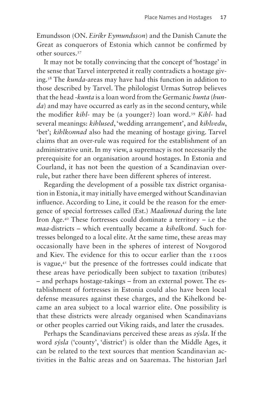Emundsson (ON. *Eiríkr Eymundsson*) and the Danish Canute the Great as conquerors of Estonia which cannot be confirmed by other sources.[37](#page-17-15)

It may not be totally convincing that the concept of 'hostage' in the sense that Tarvel interpreted it really contradicts a hostage giving.[38](#page-17-16) The *kunda*-areas may have had this function in addition to those described by Tarvel. The philologist Urmas Sutrop believes that the head -*kunta* is a loan word from the Germanic *hunta* (*hunda*) and may have occurred as early as in the second century, while the modifier *kihl*- may be (a younger?) loan word.[39](#page-17-17) *Kihl-* had several meanings: *kihlused*, 'wedding arrangement', and *kihlvedu*, 'bet'; *kihlkonnad* also had the meaning of hostage giving. Tarvel claims that an over-rule was required for the establishment of an administrative unit. In my view, a supremacy is not necessarily the prerequisite for an organisation around hostages. In Estonia and Courland, it has not been the question of a Scandinavian overrule, but rather there have been different spheres of interest.

Regarding the development of a possible tax district organisation in Estonia, it may initially have emerged without Scandinavian influence. According to Line, it could be the reason for the emergence of special fortresses called (Est.) *Maalinnad* during the late Iron Age.<sup>40</sup> These fortresses could dominate a territory  $-$  i.e the *maa*-districts – which eventually became a *kihelkond*. Such fortresses belonged to a local elite. At the same time, these areas may occasionally have been in the spheres of interest of Novgorod and Kiev. The evidence for this to occur earlier than the 1100s is vague, $4<sup>T</sup>$  but the presence of the fortresses could indicate that these areas have periodically been subject to taxation (tributes) – and perhaps hostage-takings – from an external power. The establishment of fortresses in Estonia could also have been local defense measures against these charges, and the Kihelkond became an area subject to a local warrior elite. One possibility is that these districts were already organised when Scandinavians or other peoples carried out Viking raids, and later the crusades.

Perhaps the Scandinavians perceived these areas as *sýsla*. If the word *sýsla* ('county', 'district') is older than the Middle Ages, it can be related to the text sources that mention Scandinavian activities in the Baltic areas and on Saaremaa. The historian Jarl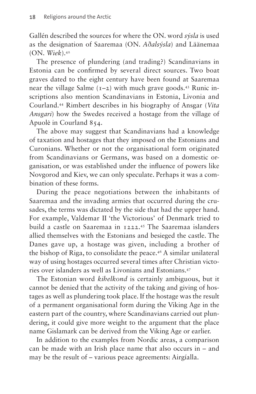Gallén described the sources for where the ON. word *sýsla* is used as the designation of Saaremaa (ON. *Aðalsýsla*) and Läänemaa (ON. *Wiek*).[42](#page-17-20)

The presence of plundering (and trading?) Scandinavians in Estonia can be confirmed by several direct sources. Two boat graves dated to the eight century have been found at Saaremaa near the village Salme  $(1-2)$  with much grave goods.<sup>43</sup> Runic inscriptions also mention Scandinavians in Estonia, Livonia and Courland.[44](#page-17-22) Rimbert describes in his biography of Ansgar (*Vita Ansgari*) how the Swedes received a hostage from the village of Apuolė in Courland 854.

The above may suggest that Scandinavians had a knowledge of taxation and hostages that they imposed on the Estonians and Curonians. Whether or not the organisational form originated from Scandinavians or Germans, was based on a domestic organisation, or was established under the influence of powers like Novgorod and Kiev, we can only speculate. Perhaps it was a combination of these forms.

During the peace negotiations between the inhabitants of Saaremaa and the invading armies that occurred during the crusades, the terms was dictated by the side that had the upper hand. For example, Valdemar II 'the Victorious' of Denmark tried to build a castle on Saaremaa in 1222.[45](#page-17-23) The Saaremaa islanders allied themselves with the Estonians and besieged the castle. The Danes gave up, a hostage was given, including a brother of the bishop of Riga, to consolidate the peace.<sup>46</sup> A similar unilateral way of using hostages occurred several times after Christian victories over islanders as well as Livonians and Estonians[.47](#page-18-0)

The Estonian word *kihelkond* is certainly ambiguous, but it cannot be denied that the activity of the taking and giving of hostages as well as plundering took place. If the hostage was the result of a permanent organisational form during the Viking Age in the eastern part of the country, where Scandinavians carried out plundering, it could give more weight to the argument that the place name Gislamark can be derived from the Viking Age or earlier.

In addition to the examples from Nordic areas, a comparison can be made with an Irish place name that also occurs in – and may be the result of – various peace agreements: Airgíalla.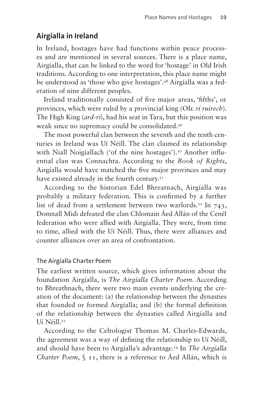### **Airgíalla in Ireland**

In Ireland, hostages have had functions within peace processes and are mentioned in several sources. There is a place name, Airgíalla, that can be linked to the word for 'hostage' in Old Irish traditions. According to one interpretation, this place name might be understood as 'those who give hostages'.[48](#page-18-1) Airgíalla was a federation of nine different peoples.

Ireland traditionally consisted of five major areas, 'fifths', or provinces, which were ruled by a provincial king (OIr. *rí ruirech*). The High King (*ard-rí*), had his seat in Tara, but this position was weak since no supremacy could be consolidated[.49](#page-18-2)

The most powerful clan between the seventh and the tenth centuries in Ireland was Uí Néill. The clan claimed its relationship with Niall Noigíallach ('of the nine hostages').<sup>[50](#page-18-3)</sup> Another influential clan was Connachta. According to the *Book of Rights*, Airgíalla would have matched the five major provinces and may have existed already in the fourth century.<sup>51</sup>

According to the historian Edel Bhreatnach, Airgíalla was probably a military federation. This is confirmed by a further list of dead from a settlement between two warlords.<sup>52</sup> In  $743$ , Domnall Midi defeated the clan Chlomain Áed Allán of the Cenél federation who were allied with Airgíalla. They were, from time to time, allied with the Uí Néill. Thus, there were alliances and counter alliances over an area of confrontation.

#### The Airgíalla Charter Poem

The earliest written source, which gives information about the foundation Airgíalla, is *The Airgíalla Charter Poem*. According to Bhreathnach, there were two main events underlying the creation of the document: (a) the relationship between the dynasties that founded or formed Airgíalla; and (b) the formal definition of the relationship between the dynasties called Airgíalla and Uí Néill[.53](#page-18-6)

According to the Celtologist Thomas M. Charles-Edwards, the agreement was a way of defining the relationship to Uí Néill, and should have been to Airgíalla's advantage[.54](#page-18-7) In *The Airgíalla Charter Poem*, § 11, there is a reference to Áed Allán, which is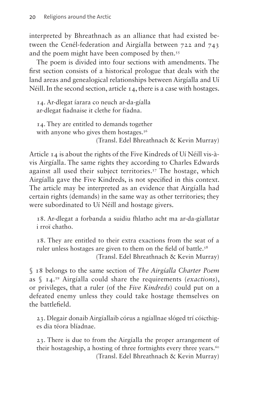interpreted by Bhreathnach as an alliance that had existed between the Cenél-federation and Airgíalla between 722 and 743 and the poem might have been composed by then.<sup>55</sup>

The poem is divided into four sections with amendments. The first section consists of a historical prologue that deals with the land areas and genealogical relationships between Airgíalla and Uí Néill. In the second section, article 14, there is a case with hostages.

14. Ar-dlegat íarara co neuch ar-da-gíalla ar-dlegat fiadnaise it clethe for fíadna.

14. They are entitled to demands together with anyone who gives them hostages.<sup>56</sup> (Transl. Edel Bhreathnach & Kevin Murray)

Article 14 is about the rights of the Five Kindreds of Uí Néill vis-àvis Airgíalla. The same rights they according to Charles Edwards against all used their subject territories[.57](#page-18-10) The hostage, which Airgíalla gave the Five Kindreds, is not specified in this context. The article may be interpreted as an evidence that Airgíalla had certain rights (demands) in the same way as other territories; they were subordinated to Uí Néill and hostage givers.

18. Ar-dlegat a forbanda a suidiu fhlatho acht ma ar-da-gíallatar i rroï chatho.

18. They are entitled to their extra exactions from the seat of a ruler unless hostages are given to them on the field of battle.<sup>58</sup> (Transl. Edel Bhreathnach & Kevin Murray)

§ 18 belongs to the same section of *The Airgíalla Charter Poem* as § 14[.59](#page-18-12) Airgíalla could share the requirements (*exactions*), or privileges, that a ruler (of the *Five Kindreds*) could put on a defeated enemy unless they could take hostage themselves on the battlefield.

23. Dlegair donaib Airgíallaib córus a ngíallnae slóged trí cóicthiges dïa téora blíadnae.

23. There is due to from the Airgíalla the proper arrangement of their hostageship, a hosting of three fortnights every three years.<sup>[60](#page-18-13)</sup> (Transl. Edel Bhreathnach & Kevin Murray)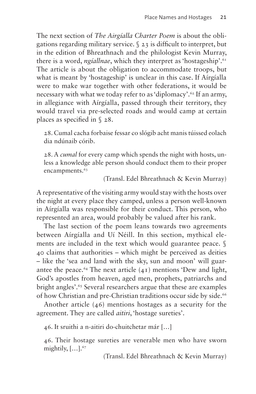The next section of *The Airgíalla Charter Poem* is about the obligations regarding military service. § 23 is difficult to interpret, but in the edition of Bhreathnach and the philologist Kevin Murray, there is a word, *ngíallnae*, which they interpret as 'hostageship'.<sup>[61](#page-18-14)</sup> The article is about the obligation to accommodate troops, but what is meant by 'hostageship' is unclear in this case. If Aírgíalla were to make war together with other federations, it would be necessary with what we today refer to as 'diplomacy'.<sup>[62](#page-18-15)</sup> If an army, in allegiance with Aírgíalla, passed through their territory, they would travel via pre-selected roads and would camp at certain places as specified in § 28.

28. Cumal cacha forbaise fessar co slógib acht manis túissed eolach dia ndúnaib córib.

28. A *cumal* for every camp which spends the night with hosts, unless a knowledge able person should conduct them to their proper encampments.<sup>[63](#page-18-16)</sup>

(Transl. Edel Bhreathnach & Kevin Murray)

A representative of the visiting army would stay with the hosts over the night at every place they camped, unless a person well-known in Aírgíalla was responsible for their conduct. This person, who represented an area, would probably be valued after his rank.

The last section of the poem leans towards two agreements between Aírgíalla and Uí Néill. In this section, mythical elements are included in the text which would guarantee peace. § 40 claims that authorities – which might be perceived as deities – like the 'sea and land with the sky, sun and moon' will guarantee the peace.<sup>64</sup> The next article  $(41)$  mentions 'Dew and light, God's apostles from heaven, aged men, prophets, patriarchs and bright angles'.[65](#page-18-18) Several researchers argue that these are examples of how Christian and pre-Christian traditions occur side by side.<sup>[66](#page-18-19)</sup>

Another article (46) mentions hostages as a security for the agreement. They are called *aitiri*, 'hostage sureties'.

46. It sruithi a n-aitiri do-chuitchetar már […]

46. Their hostage sureties are venerable men who have sworn mightily, […][.67](#page-18-20)

(Transl. Edel Bhreathnach & Kevin Murray)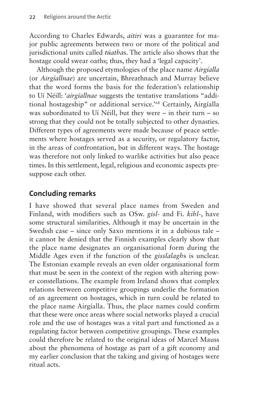According to Charles Edwards, *aitiri* was a guarantee for major public agreements between two or more of the political and jurisdictional units called *túatha*s. The article also shows that the hostage could swear oaths; thus, they had a 'legal capacity'.

Although the proposed etymologies of the place name *Airgíalla* (or *Airgíallnae*) are uncertain, Bhreathnach and Murray believe that the word forms the basis for the federation's relationship to Uí Néill: '*airgíallnae* suggests the tentative translations "additional hostageship" or additional service.['68](#page-18-21) Certainly, Airgíalla was subordinated to Uí Néill, but they were – in their turn – so strong that they could not be totally subjected to other dynasties. Different types of agreements were made because of peace settlements where hostages served as a security, or regulatory factor, in the areas of confrontation, but in different ways. The hostage was therefore not only linked to warlike activities but also peace times. In this settlement, legal, religious and economic aspects presuppose each other.

### **Concluding remarks**

I have showed that several place names from Sweden and Finland, with modifiers such as OSw. *gisl*- and Fi. *kihl-*, have some structural similarities. Although it may be uncertain in the Swedish case – since only Saxo mentions it in a dubious tale – it cannot be denied that the Finnish examples clearly show that the place name designates an organisational form during the Middle Ages even if the function of the *gisslalagh*s is unclear. The Estonian example reveals an even older organisational form that must be seen in the context of the region with altering power constellations. The example from Ireland shows that complex relations between competitive groupings underlie the formation of an agreement on hostages, which in turn could be related to the place name Airgíalla. Thus, the place names could confirm that these were once areas where social networks played a crucial role and the use of hostages was a vital part and functioned as a regulating factor between competitive groupings. These examples could therefore be related to the original ideas of Marcel Mauss about the phenomena of hostage as part of a gift economy and my earlier conclusion that the taking and giving of hostages were ritual acts.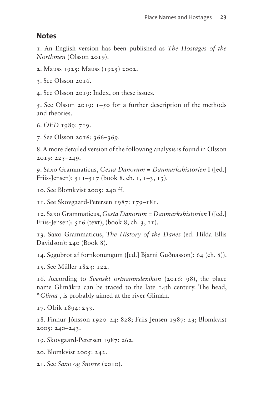#### **Notes**

<span id="page-16-0"></span>1. An English version has been published as *The Hostages of the Northmen* (Olsson 2019).

<span id="page-16-1"></span>2. Mauss 1925; Mauss (1925) 2002.

<span id="page-16-2"></span>3. See Olsson 2016.

<span id="page-16-3"></span>4. See Olsson 2019: Index, on these issues.

<span id="page-16-4"></span>5. See Olsson 2019: 1–50 for a further description of the methods and theories.

<span id="page-16-5"></span>6. *OED* 1989: 719.

<span id="page-16-6"></span>7. See Olsson 2016: 366–369.

<span id="page-16-7"></span>8. A more detailed version of the following analysis is found in Olsson 2019: 225–249.

<span id="page-16-8"></span>9. Saxo Grammaticus, *Gesta Danorum = Danmarkshistorien* I ([ed.] Friis-Jensen):  $511 - 517$  (book 8, ch. 1,  $1 - 3$ , 13).

<span id="page-16-9"></span>10. See Blomkvist 2005: 240 ff.

<span id="page-16-10"></span>11. See Skovgaard-Petersen 1987: 179–181.

<span id="page-16-11"></span>12. Saxo Grammaticus, *Gesta Danorum = Danmarkshistorien* I ([ed.] Friis-Jensen): 516 (text), (book 8, ch. 3, 11).

<span id="page-16-12"></span>13. Saxo Grammaticus, *The History of the Danes* (ed. Hilda Ellis Davidson): 240 (Book 8).

<span id="page-16-13"></span>14. Sǫgubrot af fornkonungum ([ed.] Bjarni Guðnasson): 64 (ch. 8)).

<span id="page-16-14"></span>15. See Müller 1823: 122.

<span id="page-16-15"></span>16. According to *Svenskt ortnamnslexikon* (2016: 98), the place name Glimåkra can be traced to the late 14th century. The head, \**Glima*-, is probably aimed at the river Glimån.

<span id="page-16-16"></span>17. Olrik 1894: 253.

<span id="page-16-17"></span>18. Finnur Jónsson 1920–24: 828; Friis-Jensen 1987: 23; Blomkvist 2005: 240–243.

<span id="page-16-18"></span>19. Skovgaard-Petersen 1987: 262.

<span id="page-16-19"></span>20. Blomkvist 2005: 242.

<span id="page-16-20"></span>21. See *Saxo og Snorre* (2010).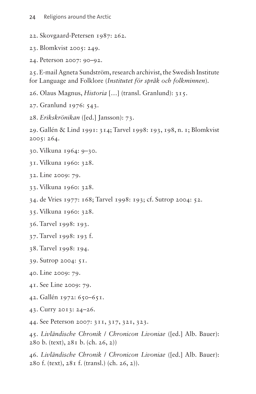- <span id="page-17-0"></span>22. Skovgaard-Petersen 1987: 262.
- <span id="page-17-1"></span>23. Blomkvist 2005: 249.

<span id="page-17-2"></span>24. Peterson 2007: 90–92.

<span id="page-17-3"></span>25. E-mail Agneta Sundström, research archivist, the Swedish Institute for Language and Folklore (*Institutet för språk och folkminnen*).

<span id="page-17-4"></span>26. Olaus Magnus, *Historia* […] (transl. Granlund): 315.

<span id="page-17-5"></span>27. Granlund 1976: 543.

<span id="page-17-6"></span>28. *Erikskrönikan* ([ed.] Jansson): 73.

<span id="page-17-7"></span>29. Gallén & Lind 1991: 314; Tarvel 1998: 193, 198, n. 1; Blomkvist 2005: 264.

- <span id="page-17-8"></span>30. Vilkuna 1964: 9–30.
- <span id="page-17-9"></span>31. Vilkuna 1960: 328.

<span id="page-17-10"></span>32. Line 2009: 79.

- <span id="page-17-11"></span>33. Vilkuna 1960: 328.
- <span id="page-17-12"></span>34. de Vries 1977: 168; Tarvel 1998: 193; cf. Sutrop 2004: 52.

<span id="page-17-13"></span>35. Vilkuna 1960: 328.

<span id="page-17-14"></span>36. Tarvel 1998: 193.

- <span id="page-17-15"></span>37. Tarvel 1998: 193 f.
- <span id="page-17-16"></span>38. Tarvel 1998: 194.

<span id="page-17-17"></span>39. Sutrop 2004: 51.

- <span id="page-17-18"></span>40. Line 2009: 79.
- <span id="page-17-19"></span>41. See Line 2009: 79.
- <span id="page-17-20"></span>42. Gallén 1972: 650–651.

<span id="page-17-21"></span>43. Curry 2013: 24–26.

<span id="page-17-22"></span>44. See Peterson 2007: 311, 317, 321, 323.

<span id="page-17-23"></span>45. *Livländische Chronik* / *Chronicon Livoniae* ([ed.] Alb. Bauer): 280 b. (text), 281 b. (ch. 26, 2))

<span id="page-17-24"></span>46. *Livländische Chronik* / *Chronicon Livoniae* ([ed.] Alb. Bauer): 280 f. (text), 281 f. (transl.) (ch. 26, 2)).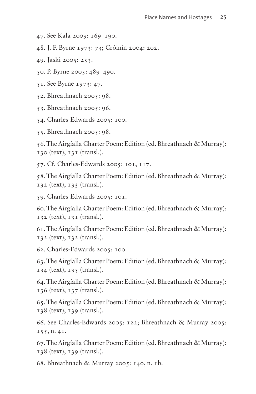<span id="page-18-0"></span>47. See Kala 2009: 169–190.

<span id="page-18-1"></span>48. J. F. Byrne 1973: 73; Cróinín 2004: 202.

<span id="page-18-2"></span>49. Jaski 2005: 253.

<span id="page-18-3"></span>50. P. Byrne 2005: 489–490.

<span id="page-18-4"></span>51. See Byrne 1973: 47.

<span id="page-18-5"></span>52. Bhreathnach 2005: 98.

<span id="page-18-6"></span>53. Bhreathnach 2005: 96.

<span id="page-18-7"></span>54. Charles-Edwards 2005: 100.

<span id="page-18-8"></span>55. Bhreathnach 2005: 98.

<span id="page-18-9"></span>56. The Airgíalla Charter Poem: Edition (ed. Bhreathnach & Murray): 130 (text), 131 (transl.).

<span id="page-18-10"></span>57. Cf. Charles-Edwards 2005: 101, 117.

<span id="page-18-11"></span>58. The Airgíalla Charter Poem: Edition (ed. Bhreathnach & Murray): 132 (text), 133 (transl.).

<span id="page-18-12"></span>59. Charles-Edwards 2005: 101.

<span id="page-18-13"></span>60. The Airgíalla Charter Poem: Edition (ed. Bhreathnach & Murray): 132 (text), 131 (transl.).

<span id="page-18-14"></span>61. The Airgíalla Charter Poem: Edition (ed. Bhreathnach & Murray): 132 (text), 132 (transl.).

<span id="page-18-15"></span>62. Charles-Edwards 2005: 100.

<span id="page-18-16"></span>63. The Airgíalla Charter Poem: Edition (ed. Bhreathnach & Murray): 134 (text), 135 (transl.).

<span id="page-18-17"></span>64. The Airgíalla Charter Poem: Edition (ed. Bhreathnach & Murray): 136 (text), 137 (transl.).

<span id="page-18-18"></span>65. The Airgíalla Charter Poem: Edition (ed. Bhreathnach & Murray): 138 (text), 139 (transl.).

<span id="page-18-19"></span>66. See Charles-Edwards 2005: 122; Bhreathnach & Murray 2005: 155, n. 41.

<span id="page-18-20"></span>67. The Airgíalla Charter Poem: Edition (ed. Bhreathnach & Murray): 138 (text), 139 (transl.).

<span id="page-18-21"></span>68. Bhreathnach & Murray 2005: 140, n. 1b.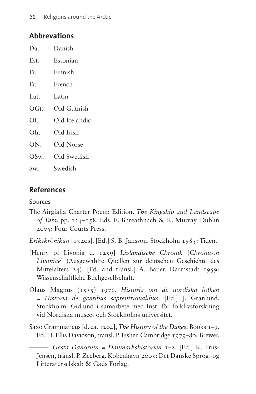### **Abbrevations**

| Da.  | Danish        |
|------|---------------|
| Est. | Estonian      |
| Fi.  | Finnish       |
| Fr.  | French        |
| Lat. | Latin         |
| OGt. | Old Gutnish   |
| OI.  | Old Icelandic |
| OIr. | Old Irish     |
| ON.  | Old Norse     |
| OSw. | Old Swedish   |
| Sw.  | Swedish       |

### **References**

#### Sources

- The Airgíalla Charter Poem: Edition. *The Kingship and Landscape of Tara*, pp. 124–158. Eds. E. Bhreathnach & K. Murray. Dublin 2005: Four Courts Press.
- *Erikskrönikan* [1320s]. [Ed.] S.-B. Jansson. Stockholm 1985: Tiden.
- [Henry of Livonia d. 1259] *Livländische Chronik* [*Chronicon Livoniae*] (Ausgewählte Quellen zur deutschen Geschichte des Mittelalters 24). [Ed. and transl.] A. Bauer. Darmstadt 1959: Wissenschaftliche Buchgesellschaft.
- Olaus Magnus (1555) 1976. *Historia om de nordiska folken* = *Historia de gentibus septentrionalibus*. [Ed.] J. Granlund. Stockholm: Gidlund i samarbete med Inst. för folklivsforskning vid Nordiska museet och Stockholms universitet.
- Saxo Grammaticus [d. ca. 1204], *The History of the Danes*. Books 1–9. Ed. H. Ellis Davidson, transl. P. Fisher. Cambridge 1979–80: Brewer.

——— *Gesta Danorum* = *Danmarkshistorien* 1–2. [Ed.] K. Friis-Jensen, transl. P. Zeeberg. København 2005: Det Danske Sprog- og Litteraturselskab & Gads Forlag.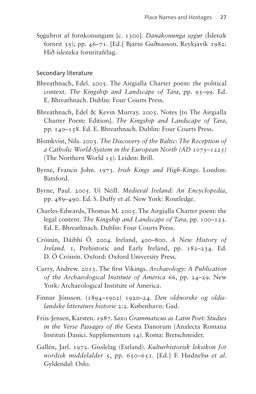Sǫgubrot af fornkonungum [c. 1300]. *Danakonunga sǫgur* (Íslenzk fornrit 35), pp. 46–71. [Ed.] Bjarni Guðnasson. Reykjavík 1982: Hið íslenzka fornritafélag.

#### Secondary literature

- Bhreathnach, Edel. 2005. The Airgialla Charter poem: the political context. *The Kingship and Landscape of Tara*, pp. 95–99. Ed. E. Bhreathnach. Dublin: Four Courts Press.
- Bhreathnach, Edel & Kevin Murray. 2005. Notes [to The Airgialla Charter Poem: Edition]. *The Kingship and Landscape of Tara*, pp. 140–158. Ed. E. Bhreathnach. Dublin: Four Courts Press.
- Blomkvist, Nils. 2005. *The Discovery of the Baltic: The Reception of a Catholic World-System in the European North (AD 1075–1225)* (The Northern World 15). Leiden: Brill.
- Byrne, Francis John. 1973. *Irish Kings and High-Kings*. London: Batsford.
- Byrne, Paul. 2005. Uí Néill. *Medieval Ireland: An Encyclopedia*, pp. 489–490. Ed. S. Duffy *et al*. New York: Routledge.
- Charles-Edwards, Thomas M. 2005. The Airgíalla Charter poem: the legal content. *The Kingship and Landscape of Tara*, pp. 100–123. Ed. E. Bhreathnach. Dublin: Four Courts Press.
- Cróinín, Dáibhí Ó. 2004. Ireland, 400–800. *A New History of Ireland*. 1, Prehistoric and Early Ireland, pp. 182–234. Ed. D. Ó Cróinín. Oxford: Oxford University Press.
- Curry, Andrew. 2013. The first Vikings. *Archaeology: A Publication of the Archaeological Institute of America* 66, pp. 24–29. New York: Archaeological Institute of America.
- Finnur Jónsson. (1894–1902) 1920–24. *Den oldnorske og oldislandske litteraturs historie* 2:2. København: Gad.
- Friis-Jensen, Karsten. 1987. *Saxo Grammaticus as Latin Poet: Studies in the Verse Passages of the* Gesta Danorum (Analecta Romana Instituti Danici. Supplementum 14). Roma: Bretschneider.
- Gallén, Jarl. 1972. Gisslelag (Estland). *Kulturhistorisk leksikon for nordisk middelalder* 5, pp. 650–651. [Ed.] F. Hødnebø *et al*. Gyldendal: Oslo.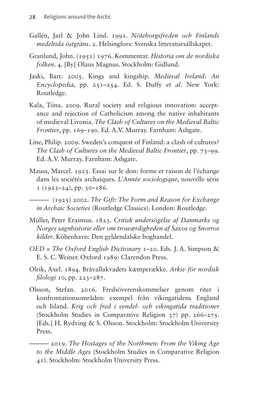- Gallén, Jarl & John Lind. 1991. *Nöteborgsfreden och Finlands medeltida östgräns*. 2. Helsingfors: Svenska litteratursällskapet.
- Granlund, John. (1951) 1976. Kommentar. *Historia om de nordiska folken*. 4. [By] Olaus Magnus. Stockholm: Gidlund.
- Jaski, Bart. 2005. Kings and kingship. *Medieval Ireland: An Encyclopedia*, pp. 251–254. Ed. S. Duffy *et al*. New York: Routledge.
- Kala, Tiina. 2009. Rural society and religious innovation: acceptance and rejection of Catholicism among the native inhabitants of medieval Livonia. *The Clash of Cultures on the Medieval Baltic Frontier*, pp. 169–190. Ed. A.V. Murray. Farnham: Ashgate.
- Line, Philip. 2009. Sweden's conquest of Finland: a clash of cultures? *The Clash of Cultures on the Medieval Baltic Frontier*, pp. 73–99. Ed. A.V. Murray. Farnham: Ashgate.
- Mauss, Marcel. 1925. Essai sur le don: forme et raison de l'échange dans les sociétés archaïques. *L'Année sociologique*, nouvelle série  $1 (1923 - 24)$ , pp. 30-186.
	- ——— (1925) 2002. *The Gift: The Form and Reason for Exchange in Archaic Societies* (Routledge Classics). London: Routledge.
- Müller, Peter Erasmus. 1823. *Critisk undersögelse af Danmarks og Norges sagnhistorie eller om trowærdigheden af Saxos og Snorros kilder*. Köbenhavn: Den gyldendalske boghandel.
- *OED* = *The Oxford English Dictionary* 1–20. Eds. J. A. Simpson & E. S. C. Weiner. Oxford 1989: Clarendon Press.
- Olrik, Axel. 1894. Bråvallakvadets kæmperække. *Arkiv för nordisk filologi* 10, pp. 223–287.
- Olsson, Stefan. 2016. Fredsöverenskommelser genom riter i konfrontationsområden: exempel från vikingatidens England och Island. *Krig och fred i vendel- och vikingatida traditioner* (Stockholm Studies in Comparative Religion 37) pp. 266–275. [Eds.] H. Rydving & S. Olsson. Stockholm: Stockholm University Press.

——— 2019. *The Hostages of the Northmen: From the Viking Age to the Middle Ages* (Stockholm Studies in Comparative Religion 41). Stockholm: Stockholm University Press.